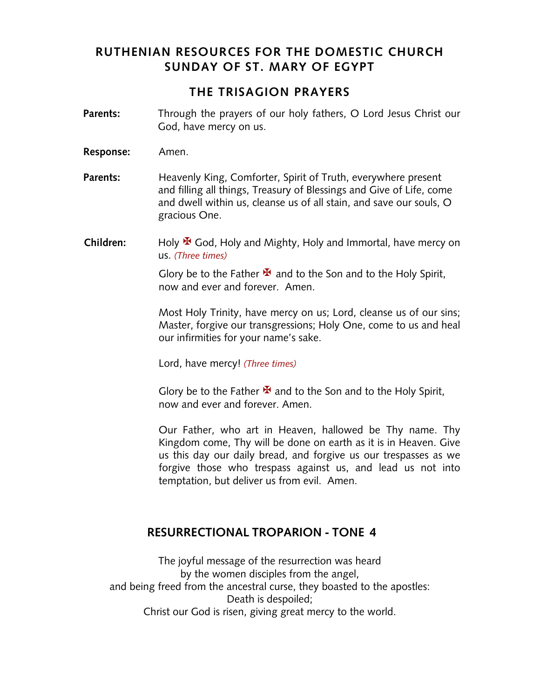# **RUTHENIAN RESOURCES FOR THE DOMESTIC CHURCH SUNDAY OF ST. MARY OF EGYPT**

#### **THE TRISAGION PRAYERS**

- **Parents:** Through the prayers of our holy fathers, O Lord Jesus Christ our God, have mercy on us.
- **Response:** Amen.
- **Parents:** Heavenly King, Comforter, Spirit of Truth, everywhere present and filling all things, Treasury of Blessings and Give of Life, come and dwell within us, cleanse us of all stain, and save our souls, O gracious One.
- **Children:** Holy **¥** God, Holy and Mighty, Holy and Immortal, have mercy on us. *(Three times)*

Glory be to the Father  $\mathbf{\Sigma}$  and to the Son and to the Holy Spirit, now and ever and forever. Amen.

Most Holy Trinity, have mercy on us; Lord, cleanse us of our sins; Master, forgive our transgressions; Holy One, come to us and heal our infirmities for your name's sake.

Lord, have mercy! *(Three times)*

Glory be to the Father  $\mathbf{\bar{X}}$  and to the Son and to the Holy Spirit, now and ever and forever. Amen.

Our Father, who art in Heaven, hallowed be Thy name. Thy Kingdom come, Thy will be done on earth as it is in Heaven. Give us this day our daily bread, and forgive us our trespasses as we forgive those who trespass against us, and lead us not into temptation, but deliver us from evil. Amen.

## **RESURRECTIONAL TROPARION - TONE 4**

The joyful message of the resurrection was heard by the women disciples from the angel, and being freed from the ancestral curse, they boasted to the apostles: Death is despoiled; Christ our God is risen, giving great mercy to the world.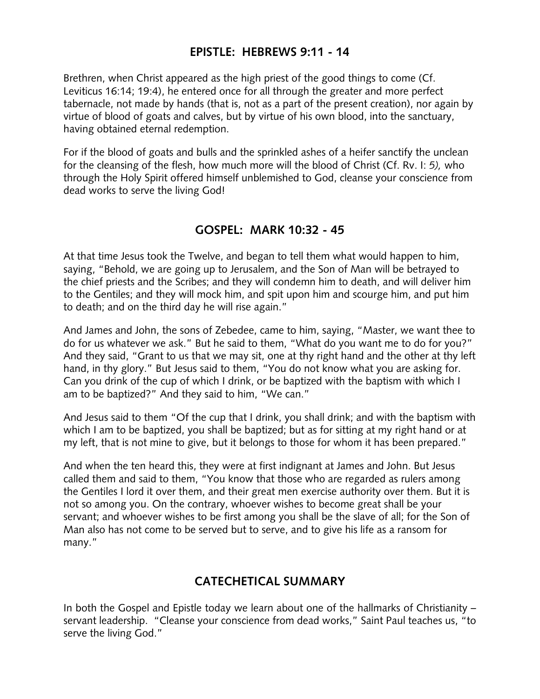# **EPISTLE: HEBREWS 9:11 - 14**

Brethren, when Christ appeared as the high priest of the good things to come (Cf. Leviticus 16:14; 19:4), he entered once for all through the greater and more perfect tabernacle, not made by hands (that is, not as a part of the present creation), nor again by virtue of blood of goats and calves, but by virtue of his own blood, into the sanctuary, having obtained eternal redemption.

For if the blood of goats and bulls and the sprinkled ashes of a heifer sanctify the unclean for the cleansing of the flesh, how much more will the blood of Christ (Cf. Rv. I: *5),* who through the Holy Spirit offered himself unblemished to God, cleanse your conscience from dead works to serve the living God!

## **GOSPEL: MARK 10:32 - 45**

At that time Jesus took the Twelve, and began to tell them what would happen to him, saying, "Behold, we are going up to Jerusalem, and the Son of Man will be betrayed to the chief priests and the Scribes; and they will condemn him to death, and will deliver him to the Gentiles; and they will mock him, and spit upon him and scourge him, and put him to death; and on the third day he will rise again."

And James and John, the sons of Zebedee, came to him, saying, "Master, we want thee to do for us whatever we ask." But he said to them, "What do you want me to do for you?" And they said, "Grant to us that we may sit, one at thy right hand and the other at thy left hand, in thy glory." But Jesus said to them, "You do not know what you are asking for. Can you drink of the cup of which I drink, or be baptized with the baptism with which I am to be baptized?" And they said to him, "We can."

And Jesus said to them "Of the cup that I drink, you shall drink; and with the baptism with which I am to be baptized, you shall be baptized; but as for sitting at my right hand or at my left, that is not mine to give, but it belongs to those for whom it has been prepared."

And when the ten heard this, they were at first indignant at James and John. But Jesus called them and said to them, "You know that those who are regarded as rulers among the Gentiles I lord it over them, and their great men exercise authority over them. But it is not so among you. On the contrary, whoever wishes to become great shall be your servant; and whoever wishes to be first among you shall be the slave of all; for the Son of Man also has not come to be served but to serve, and to give his life as a ransom for many."

# **CATECHETICAL SUMMARY**

In both the Gospel and Epistle today we learn about one of the hallmarks of Christianity – servant leadership. "Cleanse your conscience from dead works," Saint Paul teaches us, "to serve the living God."